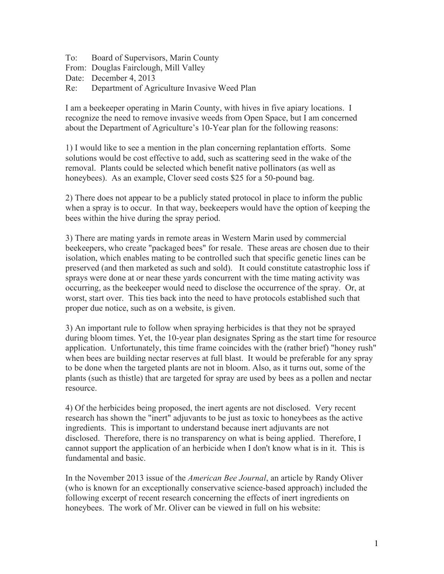To: Board of Supervisors, Marin County From: Douglas Fairclough, Mill Valley Date: December 4, 2013 Re: Department of Agriculture Invasive Weed Plan

I am a beekeeper operating in Marin County, with hives in five apiary locations. I recognize the need to remove invasive weeds from Open Space, but I am concerned about the Department of Agriculture's 10-Year plan for the following reasons:

1) I would like to see a mention in the plan concerning replantation efforts. Some solutions would be cost effective to add, such as scattering seed in the wake of the removal. Plants could be selected which benefit native pollinators (as well as honeybees). As an example, Clover seed costs \$25 for a 50-pound bag.

2) There does not appear to be a publicly stated protocol in place to inform the public when a spray is to occur. In that way, beekeepers would have the option of keeping the bees within the hive during the spray period.

3) There are mating yards in remote areas in Western Marin used by commercial beekeepers, who create "packaged bees" for resale. These areas are chosen due to their isolation, which enables mating to be controlled such that specific genetic lines can be preserved (and then marketed as such and sold). It could constitute catastrophic loss if sprays were done at or near these yards concurrent with the time mating activity was occurring, as the beekeeper would need to disclose the occurrence of the spray. Or, at worst, start over. This ties back into the need to have protocols established such that proper due notice, such as on a website, is given.

3) An important rule to follow when spraying herbicides is that they not be sprayed during bloom times. Yet, the 10-year plan designates Spring as the start time for resource application. Unfortunately, this time frame coincides with the (rather brief) "honey rush" when bees are building nectar reserves at full blast. It would be preferable for any spray to be done when the targeted plants are not in bloom. Also, as it turns out, some of the plants (such as thistle) that are targeted for spray are used by bees as a pollen and nectar resource.

4) Of the herbicides being proposed, the inert agents are not disclosed. Very recent research has shown the "inert" adjuvants to be just as toxic to honeybees as the active ingredients. This is important to understand because inert adjuvants are not disclosed. Therefore, there is no transparency on what is being applied. Therefore, I cannot support the application of an herbicide when I don't know what is in it. This is fundamental and basic.

In the November 2013 issue of the *American Bee Journal*, an article by Randy Oliver (who is known for an exceptionally conservative science-based approach) included the following excerpt of recent research concerning the effects of inert ingredients on honeybees. The work of Mr. Oliver can be viewed in full on his website: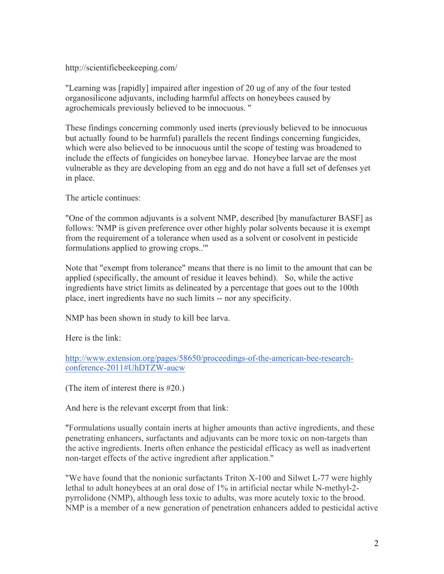## http://scientificbeekeeping.com/

"Learning was [rapidly] impaired after ingestion of 20 ug of any of the four tested organosilicone adjuvants, including harmful affects on honeybees caused by agrochemicals previously believed to be innocuous. "

These findings concerning commonly used inerts (previously believed to be innocuous but actually found to be harmful) parallels the recent findings concerning fungicides, which were also believed to be innocuous until the scope of testing was broadened to include the effects of fungicides on honeybee larvae. Honeybee larvae are the most vulnerable as they are developing from an egg and do not have a full set of defenses yet in place.

The article continues:

"One of the common adjuvants is a solvent NMP, described [by manufacturer BASF] as follows: 'NMP is given preference over other highly polar solvents because it is exempt from the requirement of a tolerance when used as a solvent or cosolvent in pesticide formulations applied to growing crops..'"

Note that "exempt from tolerance" means that there is no limit to the amount that can be applied (specifically, the amount of residue it leaves behind). So, while the active ingredients have strict limits as delineated by a percentage that goes out to the 100th place, inert ingredients have no such limits -- nor any specificity.

NMP has been shown in study to kill bee larva.

Here is the link:

http://www.extension.org/pages/58650/proceedings-of-the-american-bee-researchconference-2011#UhDTZW-aucw

(The item of interest there is #20.)

And here is the relevant excerpt from that link:

"Formulations usually contain inerts at higher amounts than active ingredients, and these penetrating enhancers, surfactants and adjuvants can be more toxic on non-targets than the active ingredients. Inerts often enhance the pesticidal efficacy as well as inadvertent non-target effects of the active ingredient after application."

"We have found that the nonionic surfactants Triton X-100 and Silwet L-77 were highly lethal to adult honeybees at an oral dose of 1% in artificial nectar while N-methyl-2 pyrrolidone (NMP), although less toxic to adults, was more acutely toxic to the brood. NMP is a member of a new generation of penetration enhancers added to pesticidal active